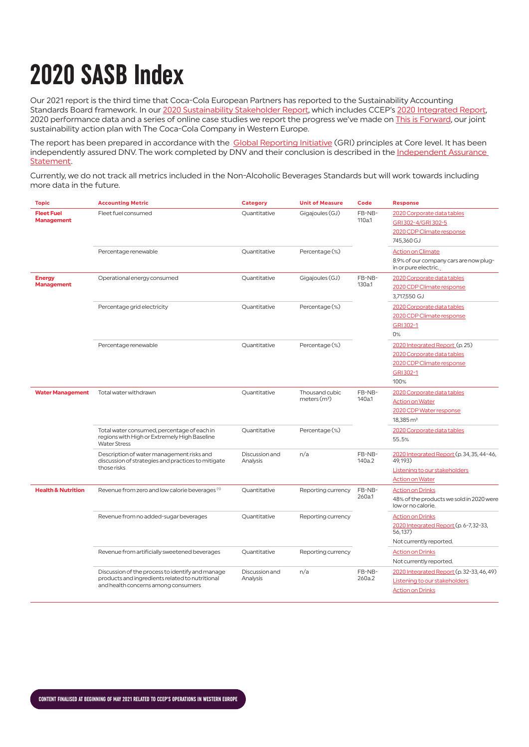## **2020 SASB Index**

Our 2021 report is the third time that Coca-Cola European Partners has reported to the Sustainability Accounting Standards Board framework. In our [2020 Sustainability Stakeholder Report](https://www.cocacolaep.com/sustainability/this-is-forward/), which includes CCEP's [2020 Integrated Report,](https://www.cocacolaep.com/assets/Sustainability/Documents/d49b0f6991/CCEP-2020-Integrated-Report_FINAL.pdf) 2020 performance data and a series of online case studies we report the progress we've made on [This is Forward,](https://www.cocacolaep.com/assets/ce09e9e4e8/CCEP-This-is-Forward-Sustainability-Action-Plan.pdf) our joint sustainability action plan with The Coca-Cola Company in Western Europe.

The report has been prepared in accordance with the [Global Reporting Initiative](https://www.cocacolaep.com/assets/Sustainability/Documents/df5551c1cf/2020-GRI-Table.pdf) (GRI) principles at Core level. It has been independently assured DNV. The work completed by DNV and their conclusion is described in the [Independent Assurance](https://www.cocacolaep.com/assets/Sustainability/Documents/561400f378/2020-Assurance-Statement.pdf)  [Statement.](https://www.cocacolaep.com/assets/Sustainability/Documents/561400f378/2020-Assurance-Statement.pdf)

Currently, we do not track all metrics included in the Non-Alcoholic Beverages Standards but will work towards including more data in the future.

| <b>Topic</b>                           | <b>Accounting Metric</b>                                                                                                                   | <b>Category</b>            | <b>Unit of Measure</b>          | Code             | <b>Response</b>                                                |
|----------------------------------------|--------------------------------------------------------------------------------------------------------------------------------------------|----------------------------|---------------------------------|------------------|----------------------------------------------------------------|
| <b>Fleet Fuel</b><br><b>Management</b> | Fleet fuel consumed                                                                                                                        | Ouantitative               | Gigajoules (GJ)                 | FB-NB-           | 2020 Corporate data tables                                     |
|                                        |                                                                                                                                            |                            |                                 | 110a.1           | GRI 302-4/GRI 302-5                                            |
|                                        |                                                                                                                                            |                            |                                 |                  | 2020 CDP Climate response                                      |
|                                        |                                                                                                                                            |                            |                                 |                  | 745,360 GJ                                                     |
|                                        | Percentage renewable                                                                                                                       | Quantitative               | Percentage (%)                  |                  | <b>Action on Climate</b>                                       |
|                                        |                                                                                                                                            |                            |                                 |                  | 8.9% of our company cars are now plug-<br>in or pure electric. |
| <b>Energy</b><br><b>Management</b>     | Operational energy consumed                                                                                                                | Quantitative               | Gigajoules (GJ)                 | FB-NB-<br>130a.1 | 2020 Corporate data tables                                     |
|                                        |                                                                                                                                            |                            |                                 |                  | 2020 CDP Climate response                                      |
|                                        |                                                                                                                                            |                            |                                 |                  | 3,717,550 GJ                                                   |
|                                        | Percentage grid electricity                                                                                                                | Quantitative               | Percentage (%)                  |                  | 2020 Corporate data tables                                     |
|                                        |                                                                                                                                            |                            |                                 |                  | 2020 CDP Climate response                                      |
|                                        |                                                                                                                                            |                            |                                 |                  | GRI302-1                                                       |
|                                        |                                                                                                                                            |                            |                                 |                  | 0%                                                             |
|                                        | Percentage renewable                                                                                                                       | Quantitative               | Percentage (%)                  |                  | 2020 Integrated Report (p. 25)                                 |
|                                        |                                                                                                                                            |                            |                                 |                  | 2020 Corporate data tables                                     |
|                                        |                                                                                                                                            |                            |                                 |                  | 2020 CDP Climate response                                      |
|                                        |                                                                                                                                            |                            |                                 |                  | GRI 302-1                                                      |
|                                        |                                                                                                                                            |                            |                                 |                  | 100%                                                           |
| <b>Water Management</b>                | Total water withdrawn                                                                                                                      | Quantitative               | Thousand cubic<br>meters $(m3)$ | FB-NB-<br>140a.1 | 2020 Corporate data tables                                     |
|                                        |                                                                                                                                            |                            |                                 |                  | <b>Action on Water</b>                                         |
|                                        |                                                                                                                                            |                            |                                 |                  | 2020 CDP Water response                                        |
|                                        |                                                                                                                                            |                            |                                 |                  | $18,385 \,\mathrm{m}^3$                                        |
|                                        | Total water consumed, percentage of each in<br>regions with High or Extremely High Baseline<br><b>Water Stress</b>                         | Quantitative               | Percentage (%)                  |                  | 2020 Corporate data tables                                     |
|                                        |                                                                                                                                            |                            |                                 |                  | 55.5%                                                          |
|                                        | Description of water management risks and<br>discussion of strategies and practices to mitigate<br>those risks                             | Discussion and<br>Analysis | n/a                             | FB-NB-<br>140a.2 | 2020 Integrated Report (p. 34, 35, 44-46,<br>49,193)           |
|                                        |                                                                                                                                            |                            |                                 |                  | Listening to our stakeholders                                  |
|                                        |                                                                                                                                            |                            |                                 |                  | <b>Action on Water</b>                                         |
| <b>Health &amp; Nutrition</b>          | Revenue from zero and low calorie beverages <sup>(1)</sup>                                                                                 | Quantitative               | Reporting currency              | FB-NB-<br>260a.1 | <b>Action on Drinks</b>                                        |
|                                        |                                                                                                                                            |                            |                                 |                  | 48% of the products we sold in 2020 were<br>low or no calorie. |
|                                        | Revenue from no added-sugar beverages                                                                                                      | Quantitative               | Reporting currency              |                  | <b>Action on Drinks</b>                                        |
|                                        |                                                                                                                                            |                            |                                 |                  | 2020 Integrated Report (p. 6-7, 32-33,<br>56,137)              |
|                                        |                                                                                                                                            |                            |                                 |                  | Not currently reported.                                        |
|                                        | Revenue from artificially sweetened beverages                                                                                              | Ouantitative               | Reporting currency              |                  | <b>Action on Drinks</b>                                        |
|                                        |                                                                                                                                            |                            |                                 |                  | Not currently reported.                                        |
|                                        | Discussion of the process to identify and manage<br>products and ingredients related to nutritional<br>and health concerns among consumers | Discussion and<br>Analysis | n/a                             | FB-NB-<br>260a.2 | 2020 Integrated Report (p. 32-33, 46, 49)                      |
|                                        |                                                                                                                                            |                            |                                 |                  | Listening to our stakeholders                                  |
|                                        |                                                                                                                                            |                            |                                 |                  | <b>Action on Drinks</b>                                        |
|                                        |                                                                                                                                            |                            |                                 |                  |                                                                |